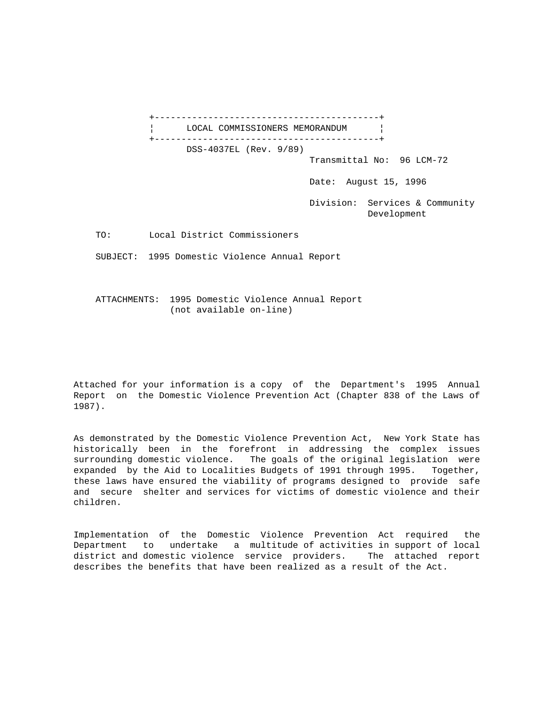+------------------------------------------+ LOCAL COMMISSIONERS MEMORANDUM | +------------------------------------------+ DSS-4037EL (Rev. 9/89) Transmittal No: 96 LCM-72 Date: August 15, 1996 Division: Services & Community Development TO: Local District Commissioners SUBJECT: 1995 Domestic Violence Annual Report

 ATTACHMENTS: 1995 Domestic Violence Annual Report (not available on-line)

Attached for your information is a copy of the Department's 1995 Annual Report on the Domestic Violence Prevention Act (Chapter 838 of the Laws of 1987).

As demonstrated by the Domestic Violence Prevention Act, New York State has historically been in the forefront in addressing the complex issues surrounding domestic violence. The goals of the original legislation were expanded by the Aid to Localities Budgets of 1991 through 1995. Together, these laws have ensured the viability of programs designed to provide safe and secure shelter and services for victims of domestic violence and their children.

Implementation of the Domestic Violence Prevention Act required the Department to undertake a multitude of activities in support of local district and domestic violence service providers. The attached report describes the benefits that have been realized as a result of the Act.